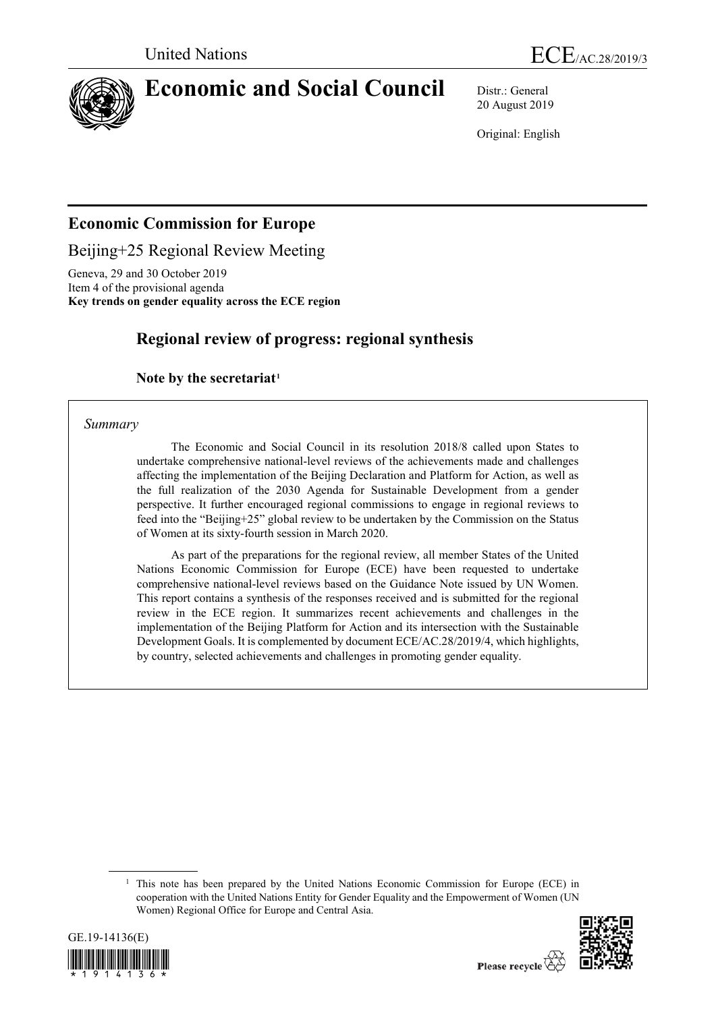

# **Economic and Social Council** Distr.: General

20 August 2019

Original: English

# **Economic Commission for Europe**

Beijing+25 Regional Review Meeting

Geneva, 29 and 30 October 2019 Item 4 of the provisional agenda **Key trends on gender equality across the ECE region**

# **Regional review of progress: regional synthesis**

### **Note by the secretariat[1](#page-0-0)**

*Summary*

The Economic and Social Council in its resolution 2018/8 called upon States to undertake comprehensive national-level reviews of the achievements made and challenges affecting the implementation of the Beijing Declaration and Platform for Action, as well as the full realization of the 2030 Agenda for Sustainable Development from a gender perspective. It further encouraged regional commissions to engage in regional reviews to feed into the "Beijing+25" global review to be undertaken by the Commission on the Status of Women at its sixty-fourth session in March 2020.

As part of the preparations for the regional review, all member States of the United Nations Economic Commission for Europe (ECE) have been requested to undertake comprehensive national-level reviews based on the Guidance Note issued by UN Women. This report contains a synthesis of the responses received and is submitted for the regional review in the ECE region. It summarizes recent achievements and challenges in the implementation of the Beijing Platform for Action and its intersection with the Sustainable Development Goals. It is complemented by document ECE/AC.28/2019/4, which highlights, by country, selected achievements and challenges in promoting gender equality.

<span id="page-0-0"></span><sup>&</sup>lt;sup>1</sup> This note has been prepared by the United Nations Economic Commission for Europe (ECE) in cooperation with the United Nations Entity for Gender Equality and the Empowerment of Women (UN Women) Regional Office for Europe and Central Asia.



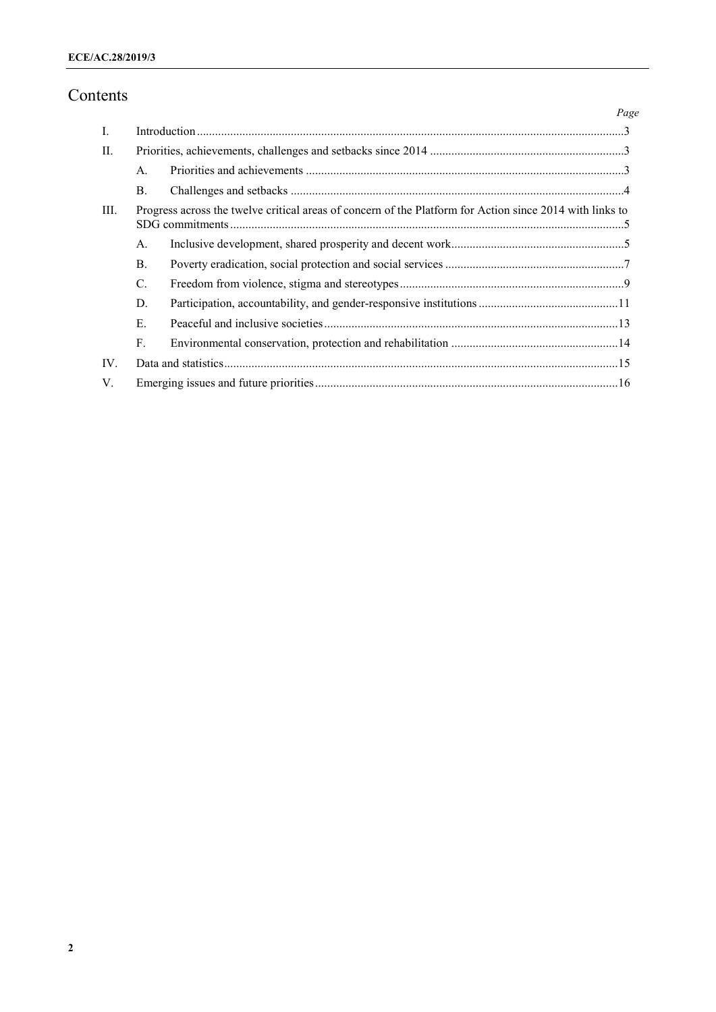# Contents

|      |                                                                                                          |  | Page |
|------|----------------------------------------------------------------------------------------------------------|--|------|
| Ι.   |                                                                                                          |  |      |
| П.   |                                                                                                          |  |      |
|      | A.                                                                                                       |  |      |
|      | B.                                                                                                       |  |      |
| III. | Progress across the twelve critical areas of concern of the Platform for Action since 2014 with links to |  |      |
|      | A.                                                                                                       |  |      |
|      | <b>B.</b>                                                                                                |  |      |
|      | $\mathcal{C}$ .                                                                                          |  |      |
|      | D.                                                                                                       |  |      |
|      | E.                                                                                                       |  |      |
|      | F <sub>r</sub>                                                                                           |  |      |
| IV.  |                                                                                                          |  |      |
| V.   |                                                                                                          |  |      |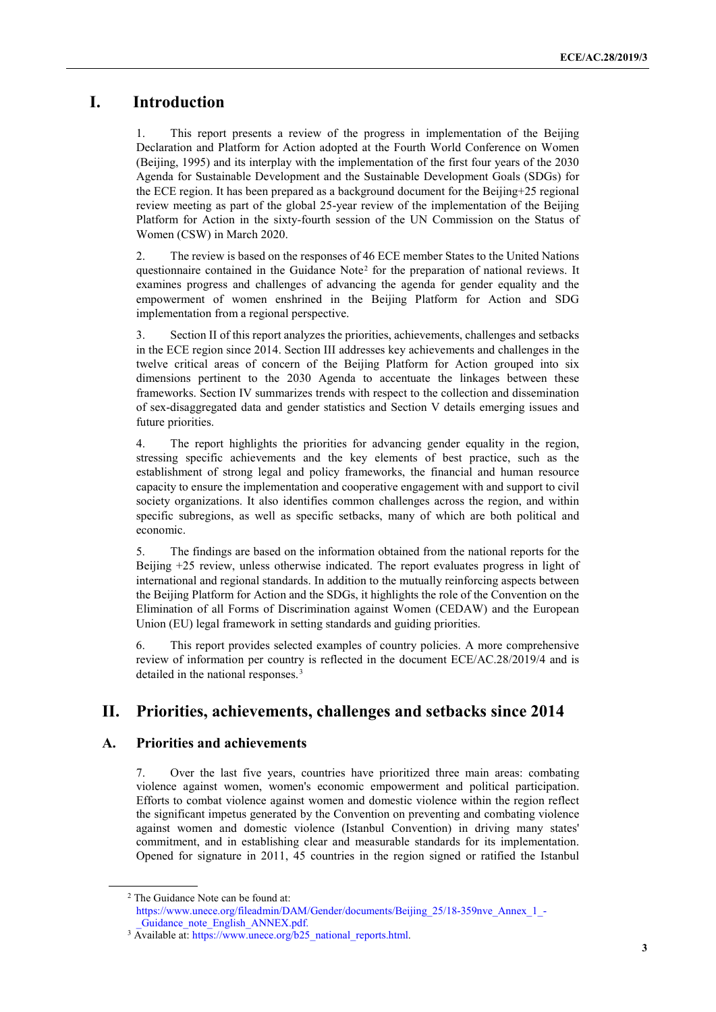# **I. Introduction**

1. This report presents a review of the progress in implementation of the Beijing Declaration and Platform for Action adopted at the Fourth World Conference on Women (Beijing, 1995) and its interplay with the implementation of the first four years of the 2030 Agenda for Sustainable Development and the Sustainable Development Goals (SDGs) for the ECE region. It has been prepared as a background document for the Beijing+25 regional review meeting as part of the global 25-year review of the implementation of the Beijing Platform for Action in the sixty-fourth session of the UN Commission on the Status of Women (CSW) in March 2020.

2. The review is based on the responses of 46 ECE member States to the United Nations questionnaire contained in the Guidance Note[2](#page-2-0) for the preparation of national reviews. It examines progress and challenges of advancing the agenda for gender equality and the empowerment of women enshrined in the Beijing Platform for Action and SDG implementation from a regional perspective.

3. Section II of this report analyzes the priorities, achievements, challenges and setbacks in the ECE region since 2014. Section III addresses key achievements and challenges in the twelve critical areas of concern of the Beijing Platform for Action grouped into six dimensions pertinent to the 2030 Agenda to accentuate the linkages between these frameworks. Section IV summarizes trends with respect to the collection and dissemination of sex-disaggregated data and gender statistics and Section V details emerging issues and future priorities.

4. The report highlights the priorities for advancing gender equality in the region, stressing specific achievements and the key elements of best practice, such as the establishment of strong legal and policy frameworks, the financial and human resource capacity to ensure the implementation and cooperative engagement with and support to civil society organizations. It also identifies common challenges across the region, and within specific subregions, as well as specific setbacks, many of which are both political and economic.

5. The findings are based on the information obtained from the national reports for the Beijing +25 review, unless otherwise indicated. The report evaluates progress in light of international and regional standards. In addition to the mutually reinforcing aspects between the Beijing Platform for Action and the SDGs, it highlights the role of the Convention on the Elimination of all Forms of Discrimination against Women (CEDAW) and the European Union (EU) legal framework in setting standards and guiding priorities.

6. This report provides selected examples of country policies. A more comprehensive review of information per country is reflected in the document ECE/AC.28/2019/4 and is detailed in the national responses.<sup>[3](#page-2-1)</sup>

## **II. Priorities, achievements, challenges and setbacks since 2014**

### **A. Priorities and achievements**

7. Over the last five years, countries have prioritized three main areas: combating violence against women, women's economic empowerment and political participation. Efforts to combat violence against women and domestic violence within the region reflect the significant impetus generated by the Convention on preventing and combating violence against women and domestic violence (Istanbul Convention) in driving many states' commitment, and in establishing clear and measurable standards for its implementation. Opened for signature in 2011, 45 countries in the region signed or ratified the Istanbul

<span id="page-2-0"></span><sup>2</sup> The Guidance Note can be found at: [https://www.unece.org/fileadmin/DAM/Gender/documents/Beijing\\_25/18-359nve\\_Annex\\_1\\_-](https://www.unece.org/fileadmin/DAM/Gender/documents/Beijing_25/18-359nve_Annex_1_-_Guidance_note_English_ANNEX.pdf) Guidance note English ANNEX.pdf.

<span id="page-2-1"></span><sup>3</sup> Available at: [https://www.unece.org/b25\\_national\\_reports.html.](https://www.unece.org/b25_national_reports.html)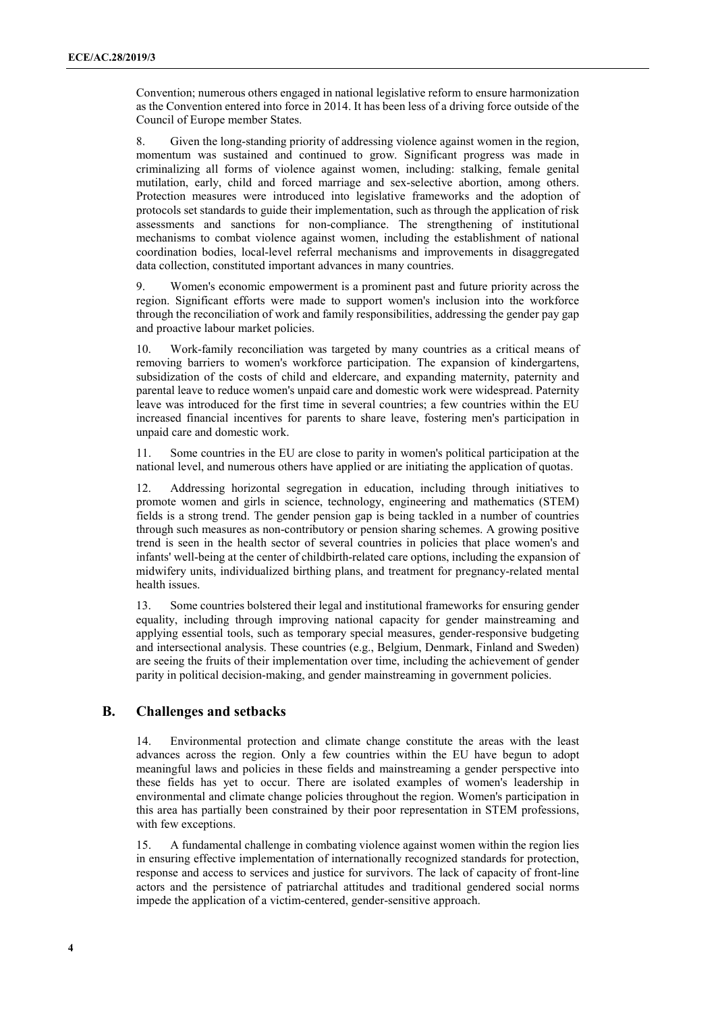Convention; numerous others engaged in national legislative reform to ensure harmonization as the Convention entered into force in 2014. It has been less of a driving force outside of the Council of Europe member States.

8. Given the long-standing priority of addressing violence against women in the region, momentum was sustained and continued to grow. Significant progress was made in criminalizing all forms of violence against women, including: stalking, female genital mutilation, early, child and forced marriage and sex-selective abortion, among others. Protection measures were introduced into legislative frameworks and the adoption of protocols set standards to guide their implementation, such as through the application of risk assessments and sanctions for non-compliance. The strengthening of institutional mechanisms to combat violence against women, including the establishment of national coordination bodies, local-level referral mechanisms and improvements in disaggregated data collection, constituted important advances in many countries.

9. Women's economic empowerment is a prominent past and future priority across the region. Significant efforts were made to support women's inclusion into the workforce through the reconciliation of work and family responsibilities, addressing the gender pay gap and proactive labour market policies.

10. Work-family reconciliation was targeted by many countries as a critical means of removing barriers to women's workforce participation. The expansion of kindergartens, subsidization of the costs of child and eldercare, and expanding maternity, paternity and parental leave to reduce women's unpaid care and domestic work were widespread. Paternity leave was introduced for the first time in several countries; a few countries within the EU increased financial incentives for parents to share leave, fostering men's participation in unpaid care and domestic work.

11. Some countries in the EU are close to parity in women's political participation at the national level, and numerous others have applied or are initiating the application of quotas.

12. Addressing horizontal segregation in education, including through initiatives to promote women and girls in science, technology, engineering and mathematics (STEM) fields is a strong trend. The gender pension gap is being tackled in a number of countries through such measures as non-contributory or pension sharing schemes. A growing positive trend is seen in the health sector of several countries in policies that place women's and infants' well-being at the center of childbirth-related care options, including the expansion of midwifery units, individualized birthing plans, and treatment for pregnancy-related mental health issues.

13. Some countries bolstered their legal and institutional frameworks for ensuring gender equality, including through improving national capacity for gender mainstreaming and applying essential tools, such as temporary special measures, gender-responsive budgeting and intersectional analysis. These countries (e.g., Belgium, Denmark, Finland and Sweden) are seeing the fruits of their implementation over time, including the achievement of gender parity in political decision-making, and gender mainstreaming in government policies.

#### **B. Challenges and setbacks**

14. Environmental protection and climate change constitute the areas with the least advances across the region. Only a few countries within the EU have begun to adopt meaningful laws and policies in these fields and mainstreaming a gender perspective into these fields has yet to occur. There are isolated examples of women's leadership in environmental and climate change policies throughout the region. Women's participation in this area has partially been constrained by their poor representation in STEM professions, with few exceptions.

15. A fundamental challenge in combating violence against women within the region lies in ensuring effective implementation of internationally recognized standards for protection, response and access to services and justice for survivors. The lack of capacity of front-line actors and the persistence of patriarchal attitudes and traditional gendered social norms impede the application of a victim-centered, gender-sensitive approach.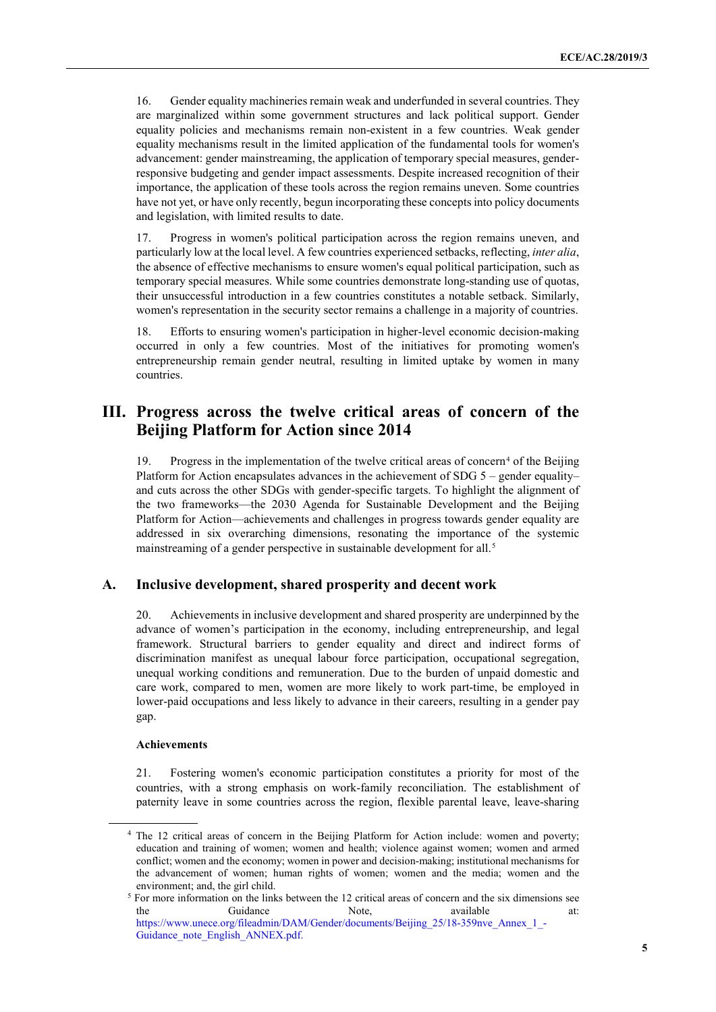16. Gender equality machineries remain weak and underfunded in several countries. They are marginalized within some government structures and lack political support. Gender equality policies and mechanisms remain non-existent in a few countries. Weak gender equality mechanisms result in the limited application of the fundamental tools for women's advancement: gender mainstreaming, the application of temporary special measures, genderresponsive budgeting and gender impact assessments. Despite increased recognition of their importance, the application of these tools across the region remains uneven. Some countries have not yet, or have only recently, begun incorporating these concepts into policy documents and legislation, with limited results to date.

17. Progress in women's political participation across the region remains uneven, and particularly low at the local level. A few countries experienced setbacks, reflecting, *inter alia*, the absence of effective mechanisms to ensure women's equal political participation, such as temporary special measures. While some countries demonstrate long-standing use of quotas, their unsuccessful introduction in a few countries constitutes a notable setback. Similarly, women's representation in the security sector remains a challenge in a majority of countries.

18. Efforts to ensuring women's participation in higher-level economic decision-making occurred in only a few countries. Most of the initiatives for promoting women's entrepreneurship remain gender neutral, resulting in limited uptake by women in many countries.

### **III. Progress across the twelve critical areas of concern of the Beijing Platform for Action since 2014**

19. Progress in the implementation of the twelve critical areas of concern<sup>[4](#page-4-0)</sup> of the Beijing Platform for Action encapsulates advances in the achievement of SDG  $5$  – gender equality– and cuts across the other SDGs with gender-specific targets. To highlight the alignment of the two frameworks—the 2030 Agenda for Sustainable Development and the Beijing Platform for Action—achievements and challenges in progress towards gender equality are addressed in six overarching dimensions, resonating the importance of the systemic mainstreaming of a gender perspective in sustainable development for all.<sup>[5](#page-4-1)</sup>

#### **A. Inclusive development, shared prosperity and decent work**

20. Achievements in inclusive development and shared prosperity are underpinned by the advance of women's participation in the economy, including entrepreneurship, and legal framework. Structural barriers to gender equality and direct and indirect forms of discrimination manifest as unequal labour force participation, occupational segregation, unequal working conditions and remuneration. Due to the burden of unpaid domestic and care work, compared to men, women are more likely to work part-time, be employed in lower-paid occupations and less likely to advance in their careers, resulting in a gender pay gap.

#### **Achievements**

21. Fostering women's economic participation constitutes a priority for most of the countries, with a strong emphasis on work-family reconciliation. The establishment of paternity leave in some countries across the region, flexible parental leave, leave-sharing

<span id="page-4-0"></span><sup>4</sup> The 12 critical areas of concern in the Beijing Platform for Action include: women and poverty; education and training of women; women and health; violence against women; women and armed conflict; women and the economy; women in power and decision-making; institutional mechanisms for the advancement of women; human rights of women; women and the media; women and the environment; and, the girl child.

<span id="page-4-1"></span><sup>5</sup> For more information on the links between the 12 critical areas of concern and the six dimensions see the Guidance Note, available at: https://www.unece.org/fileadmin/DAM/Gender/documents/Beijing\_25/18-359nve\_Annex\_1\_-Guidance\_note\_English\_ANNEX.pdf.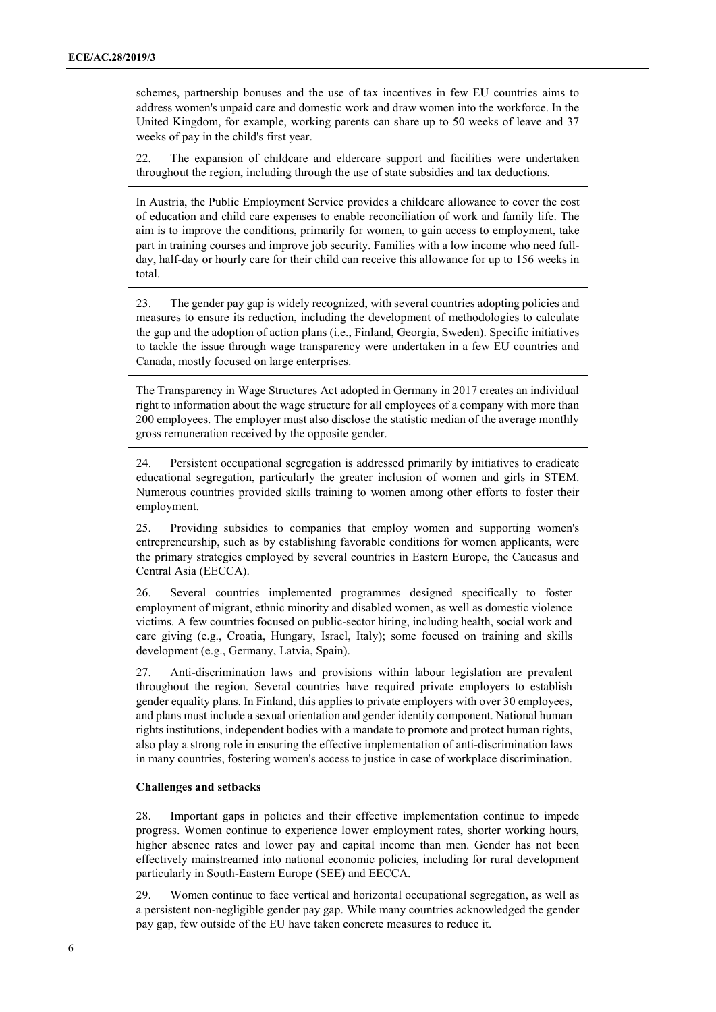schemes, partnership bonuses and the use of tax incentives in few EU countries aims to address women's unpaid care and domestic work and draw women into the workforce. In the United Kingdom, for example, working parents can share up to 50 weeks of leave and 37 weeks of pay in the child's first year.

22. The expansion of childcare and eldercare support and facilities were undertaken throughout the region, including through the use of state subsidies and tax deductions.

In Austria, the Public Employment Service provides a childcare allowance to cover the cost of education and child care expenses to enable reconciliation of work and family life. The aim is to improve the conditions, primarily for women, to gain access to employment, take part in training courses and improve job security. Families with a low income who need fullday, half-day or hourly care for their child can receive this allowance for up to 156 weeks in total.

23. The gender pay gap is widely recognized, with several countries adopting policies and measures to ensure its reduction, including the development of methodologies to calculate the gap and the adoption of action plans (i.e., Finland, Georgia, Sweden). Specific initiatives to tackle the issue through wage transparency were undertaken in a few EU countries and Canada, mostly focused on large enterprises.

The Transparency in Wage Structures Act adopted in Germany in 2017 creates an individual right to information about the wage structure for all employees of a company with more than 200 employees. The employer must also disclose the statistic median of the average monthly gross remuneration received by the opposite gender.

24. Persistent occupational segregation is addressed primarily by initiatives to eradicate educational segregation, particularly the greater inclusion of women and girls in STEM. Numerous countries provided skills training to women among other efforts to foster their employment.

25. Providing subsidies to companies that employ women and supporting women's entrepreneurship, such as by establishing favorable conditions for women applicants, were the primary strategies employed by several countries in Eastern Europe, the Caucasus and Central Asia (EECCA).

26. Several countries implemented programmes designed specifically to foster employment of migrant, ethnic minority and disabled women, as well as domestic violence victims. A few countries focused on public-sector hiring, including health, social work and care giving (e.g., Croatia, Hungary, Israel, Italy); some focused on training and skills development (e.g., Germany, Latvia, Spain).

27. Anti-discrimination laws and provisions within labour legislation are prevalent throughout the region. Several countries have required private employers to establish gender equality plans. In Finland, this applies to private employers with over 30 employees, and plans must include a sexual orientation and gender identity component. National human rights institutions, independent bodies with a mandate to promote and protect human rights, also play a strong role in ensuring the effective implementation of anti-discrimination laws in many countries, fostering women's access to justice in case of workplace discrimination.

#### **Challenges and setbacks**

28. Important gaps in policies and their effective implementation continue to impede progress. Women continue to experience lower employment rates, shorter working hours, higher absence rates and lower pay and capital income than men. Gender has not been effectively mainstreamed into national economic policies, including for rural development particularly in South-Eastern Europe (SEE) and EECCA.

29. Women continue to face vertical and horizontal occupational segregation, as well as a persistent non-negligible gender pay gap. While many countries acknowledged the gender pay gap, few outside of the EU have taken concrete measures to reduce it.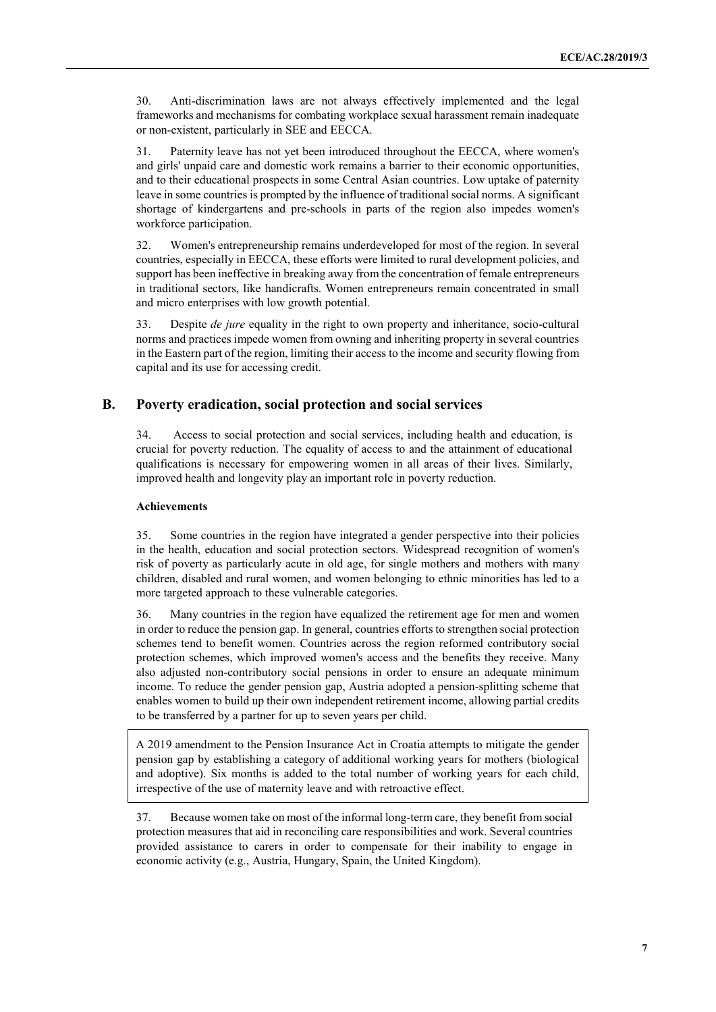30. Anti-discrimination laws are not always effectively implemented and the legal frameworks and mechanisms for combating workplace sexual harassment remain inadequate or non-existent, particularly in SEE and EECCA.

31. Paternity leave has not yet been introduced throughout the EECCA, where women's and girls' unpaid care and domestic work remains a barrier to their economic opportunities, and to their educational prospects in some Central Asian countries. Low uptake of paternity leave in some countries is prompted by the influence of traditional social norms. A significant shortage of kindergartens and pre-schools in parts of the region also impedes women's workforce participation.

32. Women's entrepreneurship remains underdeveloped for most of the region. In several countries, especially in EECCA, these efforts were limited to rural development policies, and support has been ineffective in breaking away from the concentration of female entrepreneurs in traditional sectors, like handicrafts. Women entrepreneurs remain concentrated in small and micro enterprises with low growth potential.

33. Despite *de jure* equality in the right to own property and inheritance, socio-cultural norms and practices impede women from owning and inheriting property in several countries in the Eastern part of the region, limiting their access to the income and security flowing from capital and its use for accessing credit.

#### **B. Poverty eradication, social protection and social services**

34. Access to social protection and social services, including health and education, is crucial for poverty reduction. The equality of access to and the attainment of educational qualifications is necessary for empowering women in all areas of their lives. Similarly, improved health and longevity play an important role in poverty reduction.

#### **Achievements**

35. Some countries in the region have integrated a gender perspective into their policies in the health, education and social protection sectors. Widespread recognition of women's risk of poverty as particularly acute in old age, for single mothers and mothers with many children, disabled and rural women, and women belonging to ethnic minorities has led to a more targeted approach to these vulnerable categories.

36. Many countries in the region have equalized the retirement age for men and women in order to reduce the pension gap. In general, countries efforts to strengthen social protection schemes tend to benefit women. Countries across the region reformed contributory social protection schemes, which improved women's access and the benefits they receive. Many also adjusted non-contributory social pensions in order to ensure an adequate minimum income. To reduce the gender pension gap, Austria adopted a pension-splitting scheme that enables women to build up their own independent retirement income, allowing partial credits to be transferred by a partner for up to seven years per child.

A 2019 amendment to the Pension Insurance Act in Croatia attempts to mitigate the gender pension gap by establishing a category of additional working years for mothers (biological and adoptive). Six months is added to the total number of working years for each child, irrespective of the use of maternity leave and with retroactive effect.

37. Because women take on most of the informal long-term care, they benefit from social protection measures that aid in reconciling care responsibilities and work. Several countries provided assistance to carers in order to compensate for their inability to engage in economic activity (e.g., Austria, Hungary, Spain, the United Kingdom).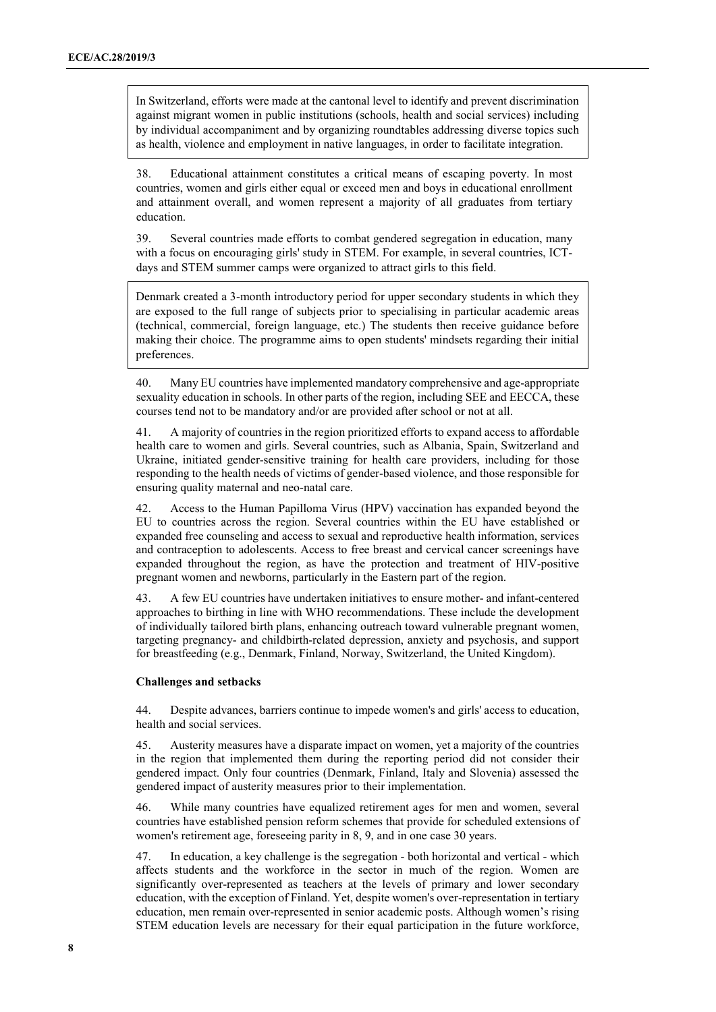In Switzerland, efforts were made at the cantonal level to identify and prevent discrimination against migrant women in public institutions (schools, health and social services) including by individual accompaniment and by organizing roundtables addressing diverse topics such as health, violence and employment in native languages, in order to facilitate integration.

38. Educational attainment constitutes a critical means of escaping poverty. In most countries, women and girls either equal or exceed men and boys in educational enrollment and attainment overall, and women represent a majority of all graduates from tertiary education.

39. Several countries made efforts to combat gendered segregation in education, many with a focus on encouraging girls' study in STEM. For example, in several countries, ICTdays and STEM summer camps were organized to attract girls to this field.

Denmark created a 3-month introductory period for upper secondary students in which they are exposed to the full range of subjects prior to specialising in particular academic areas (technical, commercial, foreign language, etc.) The students then receive guidance before making their choice. The programme aims to open students' mindsets regarding their initial preferences.

40. Many EU countries have implemented mandatory comprehensive and age-appropriate sexuality education in schools. In other parts of the region, including SEE and EECCA, these courses tend not to be mandatory and/or are provided after school or not at all.

41. A majority of countries in the region prioritized efforts to expand access to affordable health care to women and girls. Several countries, such as Albania, Spain, Switzerland and Ukraine, initiated gender-sensitive training for health care providers, including for those responding to the health needs of victims of gender-based violence, and those responsible for ensuring quality maternal and neo-natal care.

42. Access to the Human Papilloma Virus (HPV) vaccination has expanded beyond the EU to countries across the region. Several countries within the EU have established or expanded free counseling and access to sexual and reproductive health information, services and contraception to adolescents. Access to free breast and cervical cancer screenings have expanded throughout the region, as have the protection and treatment of HIV-positive pregnant women and newborns, particularly in the Eastern part of the region.

43. A few EU countries have undertaken initiatives to ensure mother- and infant-centered approaches to birthing in line with WHO recommendations. These include the development of individually tailored birth plans, enhancing outreach toward vulnerable pregnant women, targeting pregnancy- and childbirth-related depression, anxiety and psychosis, and support for breastfeeding (e.g., Denmark, Finland, Norway, Switzerland, the United Kingdom).

#### **Challenges and setbacks**

44. Despite advances, barriers continue to impede women's and girls' access to education, health and social services.

45. Austerity measures have a disparate impact on women, yet a majority of the countries in the region that implemented them during the reporting period did not consider their gendered impact. Only four countries (Denmark, Finland, Italy and Slovenia) assessed the gendered impact of austerity measures prior to their implementation.

46. While many countries have equalized retirement ages for men and women, several countries have established pension reform schemes that provide for scheduled extensions of women's retirement age, foreseeing parity in 8, 9, and in one case 30 years.

47. In education, a key challenge is the segregation - both horizontal and vertical - which affects students and the workforce in the sector in much of the region. Women are significantly over-represented as teachers at the levels of primary and lower secondary education, with the exception of Finland. Yet, despite women's over-representation in tertiary education, men remain over-represented in senior academic posts. Although women's rising STEM education levels are necessary for their equal participation in the future workforce,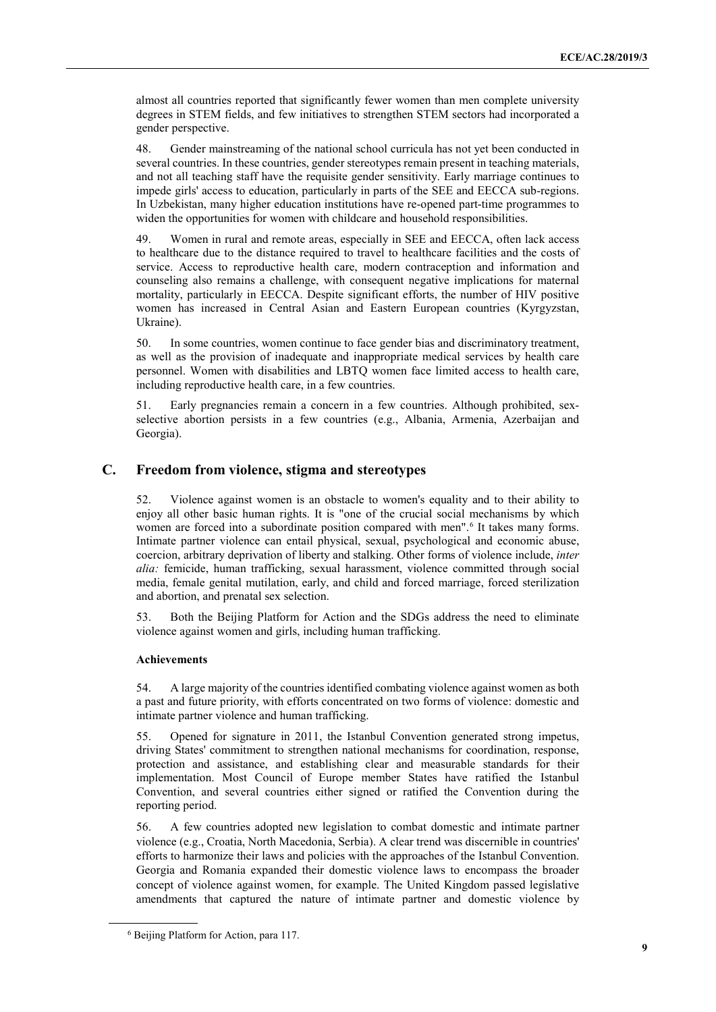almost all countries reported that significantly fewer women than men complete university degrees in STEM fields, and few initiatives to strengthen STEM sectors had incorporated a gender perspective.

48. Gender mainstreaming of the national school curricula has not yet been conducted in several countries. In these countries, gender stereotypes remain present in teaching materials, and not all teaching staff have the requisite gender sensitivity. Early marriage continues to impede girls' access to education, particularly in parts of the SEE and EECCA sub-regions. In Uzbekistan, many higher education institutions have re-opened part-time programmes to widen the opportunities for women with childcare and household responsibilities.

49. Women in rural and remote areas, especially in SEE and EECCA, often lack access to healthcare due to the distance required to travel to healthcare facilities and the costs of service. Access to reproductive health care, modern contraception and information and counseling also remains a challenge, with consequent negative implications for maternal mortality, particularly in EECCA. Despite significant efforts, the number of HIV positive women has increased in Central Asian and Eastern European countries (Kyrgyzstan, Ukraine).

50. In some countries, women continue to face gender bias and discriminatory treatment, as well as the provision of inadequate and inappropriate medical services by health care personnel. Women with disabilities and LBTQ women face limited access to health care, including reproductive health care, in a few countries.

51. Early pregnancies remain a concern in a few countries. Although prohibited, sexselective abortion persists in a few countries (e.g., Albania, Armenia, Azerbaijan and Georgia).

### **C. Freedom from violence, stigma and stereotypes**

52. Violence against women is an obstacle to women's equality and to their ability to enjoy all other basic human rights. It is "one of the crucial social mechanisms by which women are forced into a subordinate position compared with men".<sup>[6](#page-8-0)</sup> It takes many forms. Intimate partner violence can entail physical, sexual, psychological and economic abuse, coercion, arbitrary deprivation of liberty and stalking. Other forms of violence include, *inter alia:* femicide, human trafficking, sexual harassment, violence committed through social media, female genital mutilation, early, and child and forced marriage, forced sterilization and abortion, and prenatal sex selection.

53. Both the Beijing Platform for Action and the SDGs address the need to eliminate violence against women and girls, including human trafficking.

#### **Achievements**

54. A large majority of the countries identified combating violence against women as both a past and future priority, with efforts concentrated on two forms of violence: domestic and intimate partner violence and human trafficking.

55. Opened for signature in 2011, the Istanbul Convention generated strong impetus, driving States' commitment to strengthen national mechanisms for coordination, response, protection and assistance, and establishing clear and measurable standards for their implementation. Most Council of Europe member States have ratified the Istanbul Convention, and several countries either signed or ratified the Convention during the reporting period.

56. A few countries adopted new legislation to combat domestic and intimate partner violence (e.g., Croatia, North Macedonia, Serbia). A clear trend was discernible in countries' efforts to harmonize their laws and policies with the approaches of the Istanbul Convention. Georgia and Romania expanded their domestic violence laws to encompass the broader concept of violence against women, for example. The United Kingdom passed legislative amendments that captured the nature of intimate partner and domestic violence by

<span id="page-8-0"></span><sup>6</sup> Beijing Platform for Action, para 117.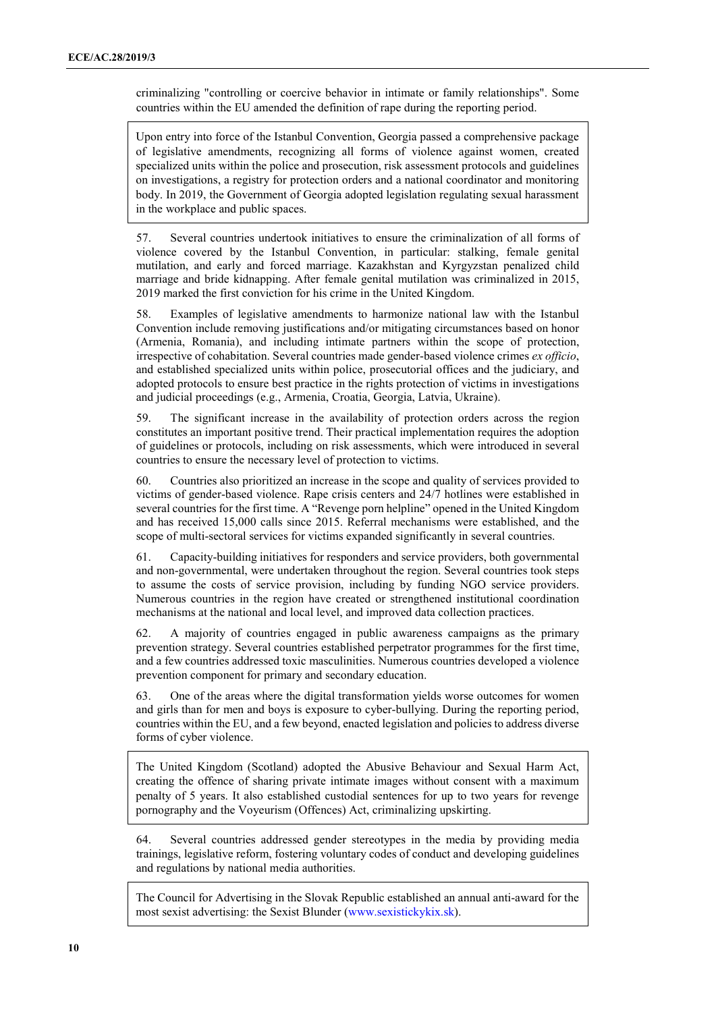criminalizing "controlling or coercive behavior in intimate or family relationships". Some countries within the EU amended the definition of rape during the reporting period.

Upon entry into force of the Istanbul Convention, Georgia passed a comprehensive package of legislative amendments, recognizing all forms of violence against women, created specialized units within the police and prosecution, risk assessment protocols and guidelines on investigations, a registry for protection orders and a national coordinator and monitoring body. In 2019, the Government of Georgia adopted legislation regulating sexual harassment in the workplace and public spaces.

57. Several countries undertook initiatives to ensure the criminalization of all forms of violence covered by the Istanbul Convention, in particular: stalking, female genital mutilation, and early and forced marriage. Kazakhstan and Kyrgyzstan penalized child marriage and bride kidnapping. After female genital mutilation was criminalized in 2015, 2019 marked the first conviction for his crime in the United Kingdom.

58. Examples of legislative amendments to harmonize national law with the Istanbul Convention include removing justifications and/or mitigating circumstances based on honor (Armenia, Romania), and including intimate partners within the scope of protection, irrespective of cohabitation. Several countries made gender-based violence crimes *ex officio*, and established specialized units within police, prosecutorial offices and the judiciary, and adopted protocols to ensure best practice in the rights protection of victims in investigations and judicial proceedings (e.g., Armenia, Croatia, Georgia, Latvia, Ukraine).

59. The significant increase in the availability of protection orders across the region constitutes an important positive trend. Their practical implementation requires the adoption of guidelines or protocols, including on risk assessments, which were introduced in several countries to ensure the necessary level of protection to victims.

60. Countries also prioritized an increase in the scope and quality of services provided to victims of gender-based violence. Rape crisis centers and 24/7 hotlines were established in several countries for the first time. A "Revenge porn helpline" opened in the United Kingdom and has received 15,000 calls since 2015. Referral mechanisms were established, and the scope of multi-sectoral services for victims expanded significantly in several countries.

61. Capacity-building initiatives for responders and service providers, both governmental and non-governmental, were undertaken throughout the region. Several countries took steps to assume the costs of service provision, including by funding NGO service providers. Numerous countries in the region have created or strengthened institutional coordination mechanisms at the national and local level, and improved data collection practices.

62. A majority of countries engaged in public awareness campaigns as the primary prevention strategy. Several countries established perpetrator programmes for the first time, and a few countries addressed toxic masculinities. Numerous countries developed a violence prevention component for primary and secondary education.

63. One of the areas where the digital transformation yields worse outcomes for women and girls than for men and boys is exposure to cyber-bullying. During the reporting period, countries within the EU, and a few beyond, enacted legislation and policies to address diverse forms of cyber violence.

The United Kingdom (Scotland) adopted the Abusive Behaviour and Sexual Harm Act, creating the offence of sharing private intimate images without consent with a maximum penalty of 5 years. It also established custodial sentences for up to two years for revenge pornography and the Voyeurism (Offences) Act, criminalizing upskirting.

64. Several countries addressed gender stereotypes in the media by providing media trainings, legislative reform, fostering voluntary codes of conduct and developing guidelines and regulations by national media authorities.

The Council for Advertising in the Slovak Republic established an annual anti-award for the most sexist advertising: the Sexist Blunder (www.sexistickykix.sk).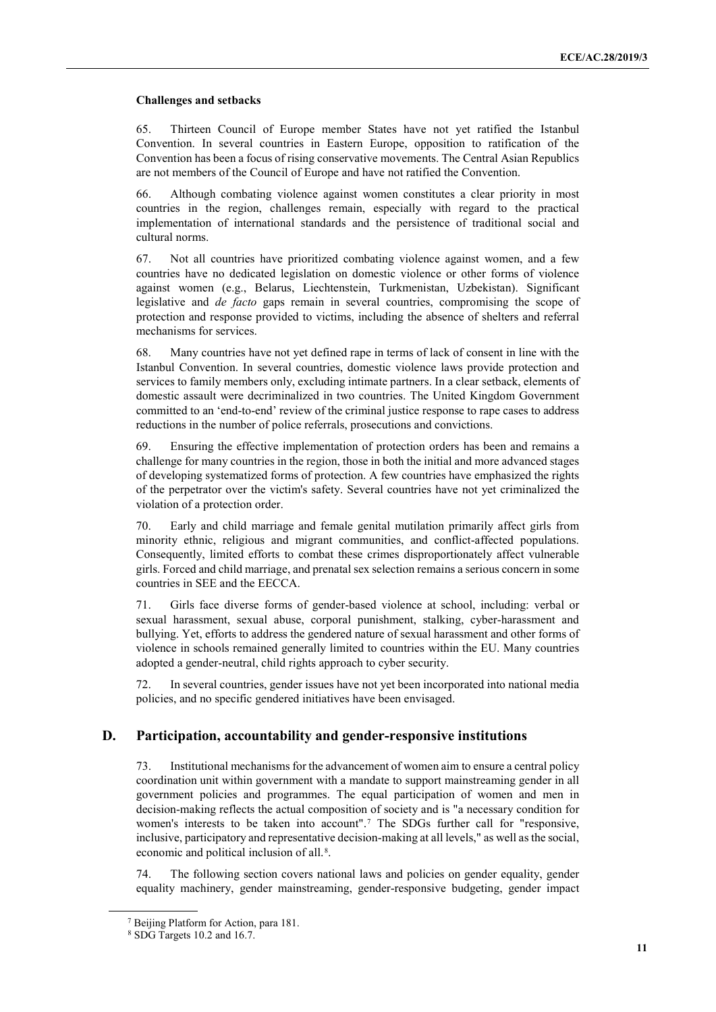#### **Challenges and setbacks**

65. Thirteen Council of Europe member States have not yet ratified the Istanbul Convention. In several countries in Eastern Europe, opposition to ratification of the Convention has been a focus of rising conservative movements. The Central Asian Republics are not members of the Council of Europe and have not ratified the Convention.

66. Although combating violence against women constitutes a clear priority in most countries in the region, challenges remain, especially with regard to the practical implementation of international standards and the persistence of traditional social and cultural norms.

67. Not all countries have prioritized combating violence against women, and a few countries have no dedicated legislation on domestic violence or other forms of violence against women (e.g., Belarus, Liechtenstein, Turkmenistan, Uzbekistan). Significant legislative and *de facto* gaps remain in several countries, compromising the scope of protection and response provided to victims, including the absence of shelters and referral mechanisms for services.

68. Many countries have not yet defined rape in terms of lack of consent in line with the Istanbul Convention. In several countries, domestic violence laws provide protection and services to family members only, excluding intimate partners. In a clear setback, elements of domestic assault were decriminalized in two countries. The United Kingdom Government committed to an 'end-to-end' review of the criminal justice response to rape cases to address reductions in the number of police referrals, prosecutions and convictions.

69. Ensuring the effective implementation of protection orders has been and remains a challenge for many countries in the region, those in both the initial and more advanced stages of developing systematized forms of protection. A few countries have emphasized the rights of the perpetrator over the victim's safety. Several countries have not yet criminalized the violation of a protection order.

70. Early and child marriage and female genital mutilation primarily affect girls from minority ethnic, religious and migrant communities, and conflict-affected populations. Consequently, limited efforts to combat these crimes disproportionately affect vulnerable girls. Forced and child marriage, and prenatal sex selection remains a serious concern in some countries in SEE and the EECCA.

71. Girls face diverse forms of gender-based violence at school, including: verbal or sexual harassment, sexual abuse, corporal punishment, stalking, cyber-harassment and bullying. Yet, efforts to address the gendered nature of sexual harassment and other forms of violence in schools remained generally limited to countries within the EU. Many countries adopted a gender-neutral, child rights approach to cyber security.

72. In several countries, gender issues have not yet been incorporated into national media policies, and no specific gendered initiatives have been envisaged.

#### **D. Participation, accountability and gender-responsive institutions**

73. Institutional mechanisms for the advancement of women aim to ensure a central policy coordination unit within government with a mandate to support mainstreaming gender in all government policies and programmes. The equal participation of women and men in decision-making reflects the actual composition of society and is "a necessary condition for women's interests to be taken into account".[7](#page-10-0) The SDGs further call for "responsive, inclusive, participatory and representative decision-making at all levels," as well as the social, economic and political inclusion of all.[8.](#page-10-1)

74. The following section covers national laws and policies on gender equality, gender equality machinery, gender mainstreaming, gender-responsive budgeting, gender impact

<span id="page-10-1"></span><span id="page-10-0"></span><sup>7</sup> Beijing Platform for Action, para 181.

<sup>8</sup> SDG Targets 10.2 and 16.7.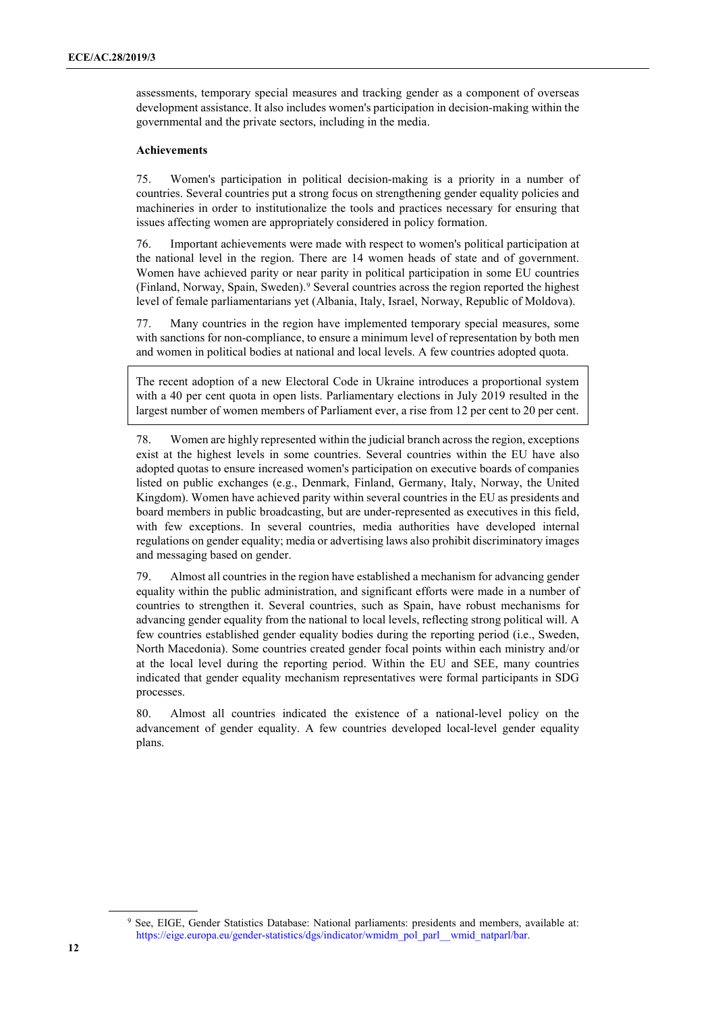assessments, temporary special measures and tracking gender as a component of overseas development assistance. It also includes women's participation in decision-making within the governmental and the private sectors, including in the media.

#### **Achievements**

75. Women's participation in political decision-making is a priority in a number of countries. Several countries put a strong focus on strengthening gender equality policies and machineries in order to institutionalize the tools and practices necessary for ensuring that issues affecting women are appropriately considered in policy formation.

76. Important achievements were made with respect to women's political participation at the national level in the region. There are 14 women heads of state and of government. Women have achieved parity or near parity in political participation in some EU countries (Finland, Norway, Spain, Sweden).[9](#page-11-0) Several countries across the region reported the highest level of female parliamentarians yet (Albania, Italy, Israel, Norway, Republic of Moldova).

77. Many countries in the region have implemented temporary special measures, some with sanctions for non-compliance, to ensure a minimum level of representation by both men and women in political bodies at national and local levels. A few countries adopted quota.

The recent adoption of a new Electoral Code in Ukraine introduces a proportional system with a 40 per cent quota in open lists. Parliamentary elections in July 2019 resulted in the largest number of women members of Parliament ever, a rise from 12 per cent to 20 per cent.

78. Women are highly represented within the judicial branch across the region, exceptions exist at the highest levels in some countries. Several countries within the EU have also adopted quotas to ensure increased women's participation on executive boards of companies listed on public exchanges (e.g., Denmark, Finland, Germany, Italy, Norway, the United Kingdom). Women have achieved parity within several countries in the EU as presidents and board members in public broadcasting, but are under-represented as executives in this field, with few exceptions. In several countries, media authorities have developed internal regulations on gender equality; media or advertising laws also prohibit discriminatory images and messaging based on gender.

79. Almost all countries in the region have established a mechanism for advancing gender equality within the public administration, and significant efforts were made in a number of countries to strengthen it. Several countries, such as Spain, have robust mechanisms for advancing gender equality from the national to local levels, reflecting strong political will. A few countries established gender equality bodies during the reporting period (i.e., Sweden, North Macedonia). Some countries created gender focal points within each ministry and/or at the local level during the reporting period. Within the EU and SEE, many countries indicated that gender equality mechanism representatives were formal participants in SDG processes.

80. Almost all countries indicated the existence of a national-level policy on the advancement of gender equality. A few countries developed local-level gender equality plans.

<span id="page-11-0"></span><sup>9</sup> See, EIGE, Gender Statistics Database: National parliaments: presidents and members, available at: https://eige.europa.eu/gender-statistics/dgs/indicator/wmidm\_pol\_parl\_\_wmid\_natparl/bar.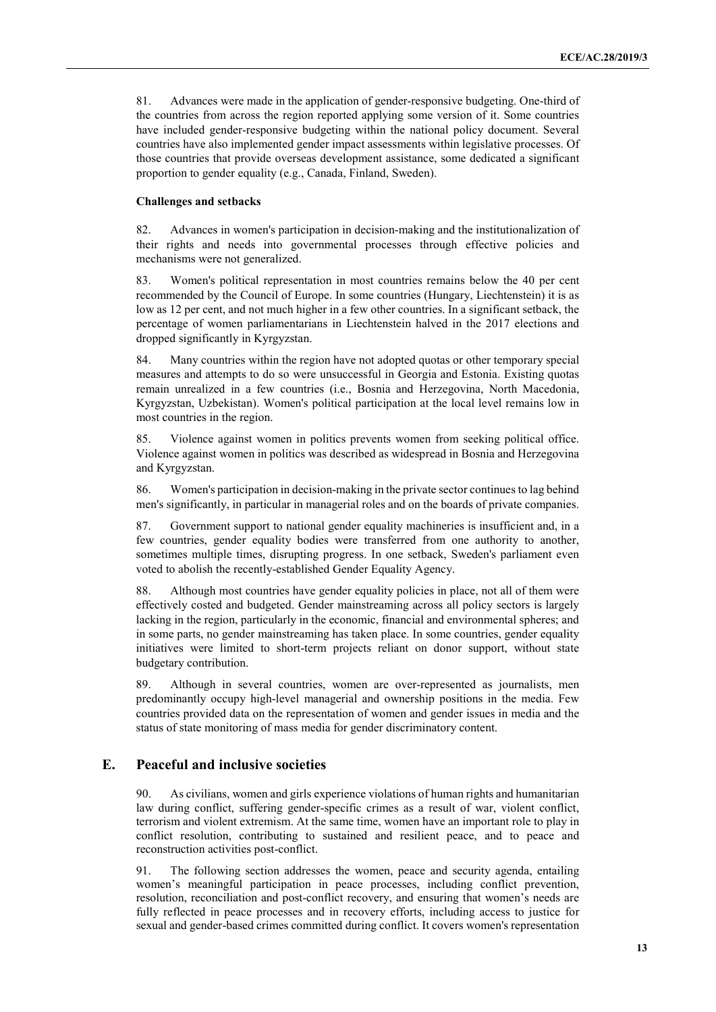81. Advances were made in the application of gender-responsive budgeting. One-third of the countries from across the region reported applying some version of it. Some countries have included gender-responsive budgeting within the national policy document. Several countries have also implemented gender impact assessments within legislative processes. Of those countries that provide overseas development assistance, some dedicated a significant proportion to gender equality (e.g., Canada, Finland, Sweden).

#### **Challenges and setbacks**

82. Advances in women's participation in decision-making and the institutionalization of their rights and needs into governmental processes through effective policies and mechanisms were not generalized.

83. Women's political representation in most countries remains below the 40 per cent recommended by the Council of Europe. In some countries (Hungary, Liechtenstein) it is as low as 12 per cent, and not much higher in a few other countries. In a significant setback, the percentage of women parliamentarians in Liechtenstein halved in the 2017 elections and dropped significantly in Kyrgyzstan.

84. Many countries within the region have not adopted quotas or other temporary special measures and attempts to do so were unsuccessful in Georgia and Estonia. Existing quotas remain unrealized in a few countries (i.e., Bosnia and Herzegovina, North Macedonia, Kyrgyzstan, Uzbekistan). Women's political participation at the local level remains low in most countries in the region.

85. Violence against women in politics prevents women from seeking political office. Violence against women in politics was described as widespread in Bosnia and Herzegovina and Kyrgyzstan.

86. Women's participation in decision-making in the private sector continues to lag behind men's significantly, in particular in managerial roles and on the boards of private companies.

87. Government support to national gender equality machineries is insufficient and, in a few countries, gender equality bodies were transferred from one authority to another, sometimes multiple times, disrupting progress. In one setback, Sweden's parliament even voted to abolish the recently-established Gender Equality Agency.

88. Although most countries have gender equality policies in place, not all of them were effectively costed and budgeted. Gender mainstreaming across all policy sectors is largely lacking in the region, particularly in the economic, financial and environmental spheres; and in some parts, no gender mainstreaming has taken place. In some countries, gender equality initiatives were limited to short-term projects reliant on donor support, without state budgetary contribution.

89. Although in several countries, women are over-represented as journalists, men predominantly occupy high-level managerial and ownership positions in the media. Few countries provided data on the representation of women and gender issues in media and the status of state monitoring of mass media for gender discriminatory content.

#### **E. Peaceful and inclusive societies**

90. As civilians, women and girls experience violations of human rights and humanitarian law during conflict, suffering gender-specific crimes as a result of war, violent conflict, terrorism and violent extremism. At the same time, women have an important role to play in conflict resolution, contributing to sustained and resilient peace, and to peace and reconstruction activities post-conflict.

91. The following section addresses the women, peace and security agenda, entailing women's meaningful participation in peace processes, including conflict prevention, resolution, reconciliation and post-conflict recovery, and ensuring that women's needs are fully reflected in peace processes and in recovery efforts, including access to justice for sexual and gender-based crimes committed during conflict. It covers women's representation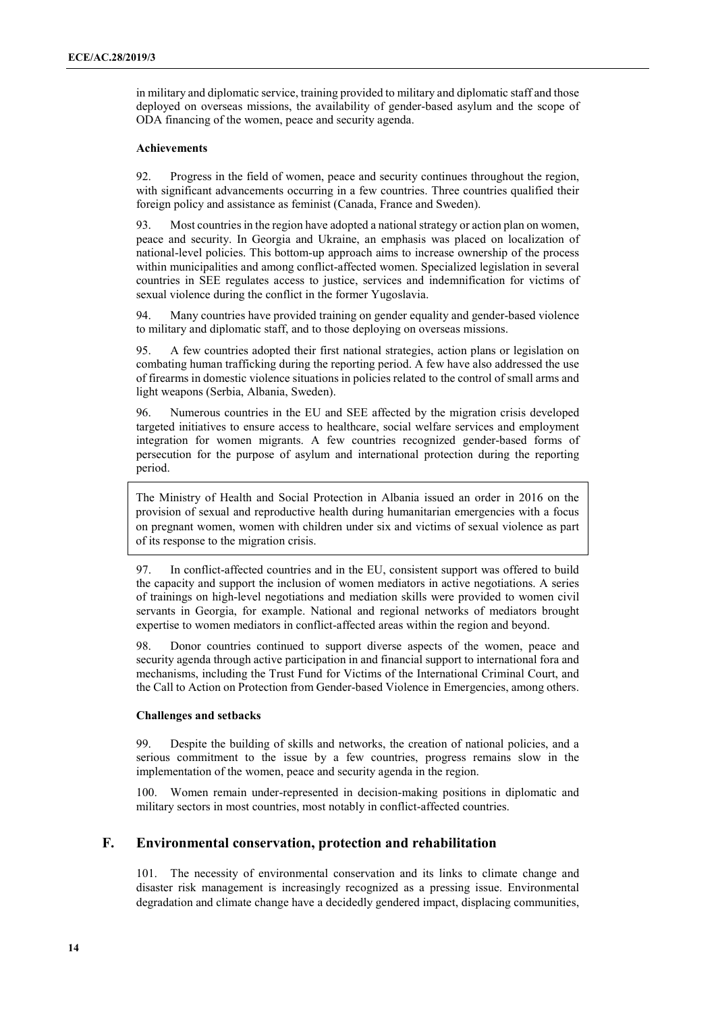in military and diplomatic service, training provided to military and diplomatic staff and those deployed on overseas missions, the availability of gender-based asylum and the scope of ODA financing of the women, peace and security agenda.

#### **Achievements**

92. Progress in the field of women, peace and security continues throughout the region, with significant advancements occurring in a few countries. Three countries qualified their foreign policy and assistance as feminist (Canada, France and Sweden).

93. Most countries in the region have adopted a national strategy or action plan on women, peace and security. In Georgia and Ukraine, an emphasis was placed on localization of national-level policies. This bottom-up approach aims to increase ownership of the process within municipalities and among conflict-affected women. Specialized legislation in several countries in SEE regulates access to justice, services and indemnification for victims of sexual violence during the conflict in the former Yugoslavia.

94. Many countries have provided training on gender equality and gender-based violence to military and diplomatic staff, and to those deploying on overseas missions.

95. A few countries adopted their first national strategies, action plans or legislation on combating human trafficking during the reporting period. A few have also addressed the use of firearms in domestic violence situations in policies related to the control of small arms and light weapons (Serbia, Albania, Sweden).

96. Numerous countries in the EU and SEE affected by the migration crisis developed targeted initiatives to ensure access to healthcare, social welfare services and employment integration for women migrants. A few countries recognized gender-based forms of persecution for the purpose of asylum and international protection during the reporting period.

The Ministry of Health and Social Protection in Albania issued an order in 2016 on the provision of sexual and reproductive health during humanitarian emergencies with a focus on pregnant women, women with children under six and victims of sexual violence as part of its response to the migration crisis.

97. In conflict-affected countries and in the EU, consistent support was offered to build the capacity and support the inclusion of women mediators in active negotiations. A series of trainings on high-level negotiations and mediation skills were provided to women civil servants in Georgia, for example. National and regional networks of mediators brought expertise to women mediators in conflict-affected areas within the region and beyond.

98. Donor countries continued to support diverse aspects of the women, peace and security agenda through active participation in and financial support to international fora and mechanisms, including the Trust Fund for Victims of the International Criminal Court, and the Call to Action on Protection from Gender-based Violence in Emergencies, among others.

#### **Challenges and setbacks**

99. Despite the building of skills and networks, the creation of national policies, and a serious commitment to the issue by a few countries, progress remains slow in the implementation of the women, peace and security agenda in the region.

100. Women remain under-represented in decision-making positions in diplomatic and military sectors in most countries, most notably in conflict-affected countries.

#### **F. Environmental conservation, protection and rehabilitation**

101. The necessity of environmental conservation and its links to climate change and disaster risk management is increasingly recognized as a pressing issue. Environmental degradation and climate change have a decidedly gendered impact, displacing communities,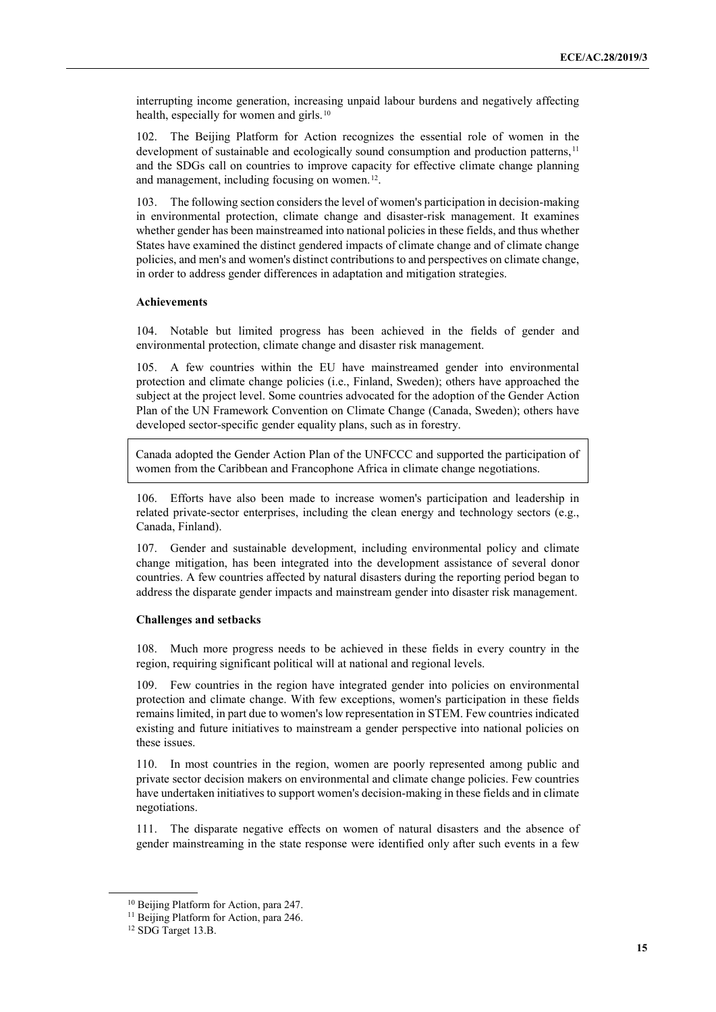interrupting income generation, increasing unpaid labour burdens and negatively affecting health, especially for women and girls.<sup>[10](#page-14-0)</sup>

102. The Beijing Platform for Action recognizes the essential role of women in the development of sustainable and ecologically sound consumption and production patterns, <sup>[11](#page-14-1)</sup> and the SDGs call on countries to improve capacity for effective climate change planning and management, including focusing on women.<sup>12</sup>.

103. The following section considers the level of women's participation in decision-making in environmental protection, climate change and disaster-risk management. It examines whether gender has been mainstreamed into national policies in these fields, and thus whether States have examined the distinct gendered impacts of climate change and of climate change policies, and men's and women's distinct contributions to and perspectives on climate change, in order to address gender differences in adaptation and mitigation strategies.

#### **Achievements**

104. Notable but limited progress has been achieved in the fields of gender and environmental protection, climate change and disaster risk management.

105. A few countries within the EU have mainstreamed gender into environmental protection and climate change policies (i.e., Finland, Sweden); others have approached the subject at the project level. Some countries advocated for the adoption of the Gender Action Plan of the UN Framework Convention on Climate Change (Canada, Sweden); others have developed sector-specific gender equality plans, such as in forestry.

Canada adopted the Gender Action Plan of the UNFCCC and supported the participation of women from the Caribbean and Francophone Africa in climate change negotiations.

106. Efforts have also been made to increase women's participation and leadership in related private-sector enterprises, including the clean energy and technology sectors (e.g., Canada, Finland).

107. Gender and sustainable development, including environmental policy and climate change mitigation, has been integrated into the development assistance of several donor countries. A few countries affected by natural disasters during the reporting period began to address the disparate gender impacts and mainstream gender into disaster risk management.

#### **Challenges and setbacks**

108. Much more progress needs to be achieved in these fields in every country in the region, requiring significant political will at national and regional levels.

109. Few countries in the region have integrated gender into policies on environmental protection and climate change. With few exceptions, women's participation in these fields remains limited, in part due to women's low representation in STEM. Few countries indicated existing and future initiatives to mainstream a gender perspective into national policies on these issues.

110. In most countries in the region, women are poorly represented among public and private sector decision makers on environmental and climate change policies. Few countries have undertaken initiatives to support women's decision-making in these fields and in climate negotiations.

111. The disparate negative effects on women of natural disasters and the absence of gender mainstreaming in the state response were identified only after such events in a few

<span id="page-14-0"></span><sup>10</sup> Beijing Platform for Action, para 247.

<span id="page-14-2"></span><span id="page-14-1"></span><sup>&</sup>lt;sup>11</sup> Beijing Platform for Action, para 246.

<sup>&</sup>lt;sup>12</sup> SDG Target 13.B.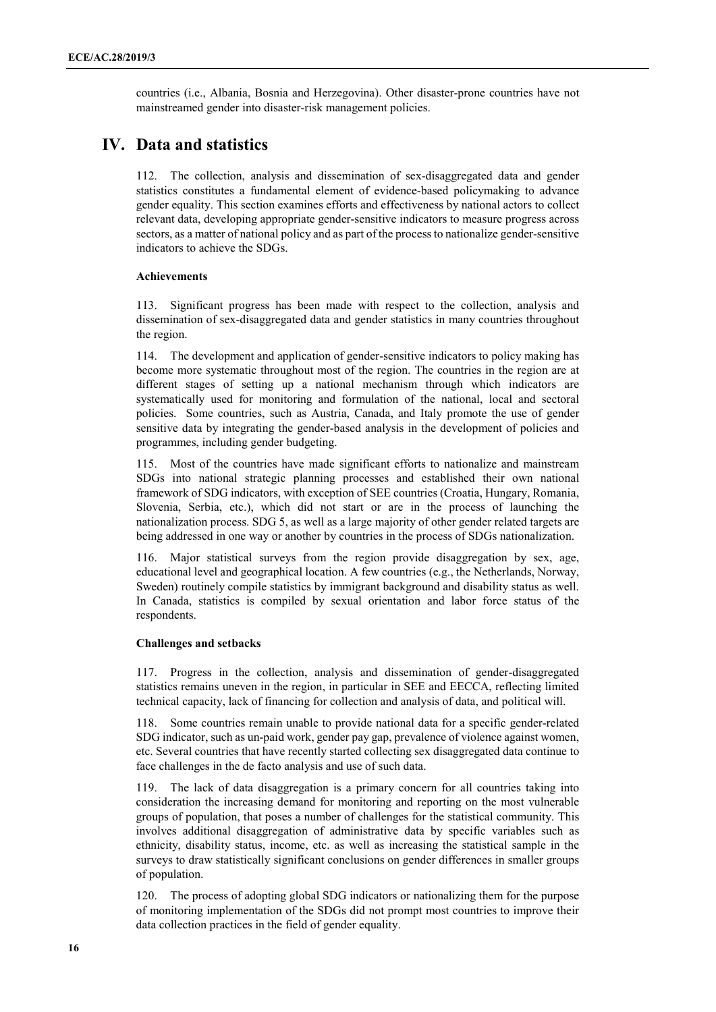countries (i.e., Albania, Bosnia and Herzegovina). Other disaster-prone countries have not mainstreamed gender into disaster-risk management policies.

### **IV. Data and statistics**

112. The collection, analysis and dissemination of sex-disaggregated data and gender statistics constitutes a fundamental element of evidence-based policymaking to advance gender equality. This section examines efforts and effectiveness by national actors to collect relevant data, developing appropriate gender-sensitive indicators to measure progress across sectors, as a matter of national policy and as part of the process to nationalize gender-sensitive indicators to achieve the SDGs.

#### **Achievements**

113. Significant progress has been made with respect to the collection, analysis and dissemination of sex-disaggregated data and gender statistics in many countries throughout the region.

114. The development and application of gender-sensitive indicators to policy making has become more systematic throughout most of the region. The countries in the region are at different stages of setting up a national mechanism through which indicators are systematically used for monitoring and formulation of the national, local and sectoral policies. Some countries, such as Austria, Canada, and Italy promote the use of gender sensitive data by integrating the gender-based analysis in the development of policies and programmes, including gender budgeting.

115. Most of the countries have made significant efforts to nationalize and mainstream SDGs into national strategic planning processes and established their own national framework of SDG indicators, with exception of SEE countries (Croatia, Hungary, Romania, Slovenia, Serbia, etc.), which did not start or are in the process of launching the nationalization process. SDG 5, as well as a large majority of other gender related targets are being addressed in one way or another by countries in the process of SDGs nationalization.

116. Major statistical surveys from the region provide disaggregation by sex, age, educational level and geographical location. A few countries (e.g., the Netherlands, Norway, Sweden) routinely compile statistics by immigrant background and disability status as well. In Canada, statistics is compiled by sexual orientation and labor force status of the respondents.

#### **Challenges and setbacks**

117. Progress in the collection, analysis and dissemination of gender-disaggregated statistics remains uneven in the region, in particular in SEE and EECCA, reflecting limited technical capacity, lack of financing for collection and analysis of data, and political will.

118. Some countries remain unable to provide national data for a specific gender-related SDG indicator, such as un-paid work, gender pay gap, prevalence of violence against women, etc. Several countries that have recently started collecting sex disaggregated data continue to face challenges in the de facto analysis and use of such data.

119. The lack of data disaggregation is a primary concern for all countries taking into consideration the increasing demand for monitoring and reporting on the most vulnerable groups of population, that poses a number of challenges for the statistical community. This involves additional disaggregation of administrative data by specific variables such as ethnicity, disability status, income, etc. as well as increasing the statistical sample in the surveys to draw statistically significant conclusions on gender differences in smaller groups of population.

120. The process of adopting global SDG indicators or nationalizing them for the purpose of monitoring implementation of the SDGs did not prompt most countries to improve their data collection practices in the field of gender equality.